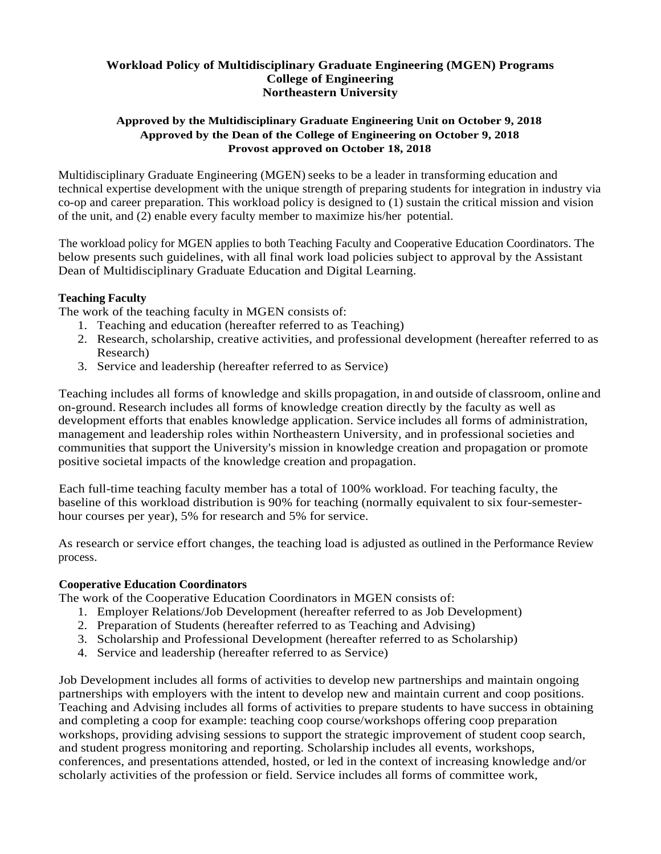### **Workload Policy of Multidisciplinary Graduate Engineering (MGEN) Programs College of Engineering Northeastern University**

#### **Approved by the Multidisciplinary Graduate Engineering Unit on October 9, 2018 Approved by the Dean of the College of Engineering on October 9, 2018 Provost approved on October 18, 2018**

Multidisciplinary Graduate Engineering (MGEN) seeks to be a leader in transforming education and technical expertise development with the unique strength of preparing students for integration in industry via co-op and career preparation. This workload policy is designed to (1) sustain the critical mission and vision of the unit, and (2) enable every faculty member to maximize his/her potential.

The workload policy for MGEN applies to both Teaching Faculty and Cooperative Education Coordinators. The below presents such guidelines, with all final work load policies subject to approval by the Assistant Dean of Multidisciplinary Graduate Education and Digital Learning.

## **Teaching Faculty**

The work of the teaching faculty in MGEN consists of:

- 1. Teaching and education (hereafter referred to as Teaching)
- 2. Research, scholarship, creative activities, and professional development (hereafter referred to as Research)
- 3. Service and leadership (hereafter referred to as Service)

Teaching includes all forms of knowledge and skills propagation, in and outside of classroom, online and on-ground. Research includes all forms of knowledge creation directly by the faculty as well as development efforts that enables knowledge application. Service includes all forms of administration, management and leadership roles within Northeastern University, and in professional societies and communities that support the University's mission in knowledge creation and propagation or promote positive societal impacts of the knowledge creation and propagation.

Each full-time teaching faculty member has a total of 100% workload. For teaching faculty, the baseline of this workload distribution is 90% for teaching (normally equivalent to six four-semesterhour courses per year), 5% for research and 5% for service.

As research or service effort changes, the teaching load is adjusted as outlined in the Performance Review process.

#### **Cooperative Education Coordinators**

The work of the Cooperative Education Coordinators in MGEN consists of:

- 1. Employer Relations/Job Development (hereafter referred to as Job Development)
- 2. Preparation of Students (hereafter referred to as Teaching and Advising)
- 3. Scholarship and Professional Development (hereafter referred to as Scholarship)
- 4. Service and leadership (hereafter referred to as Service)

Job Development includes all forms of activities to develop new partnerships and maintain ongoing partnerships with employers with the intent to develop new and maintain current and coop positions. Teaching and Advising includes all forms of activities to prepare students to have success in obtaining and completing a coop for example: teaching coop course/workshops offering coop preparation workshops, providing advising sessions to support the strategic improvement of student coop search, and student progress monitoring and reporting. Scholarship includes all events, workshops, conferences, and presentations attended, hosted, or led in the context of increasing knowledge and/or scholarly activities of the profession or field. Service includes all forms of committee work,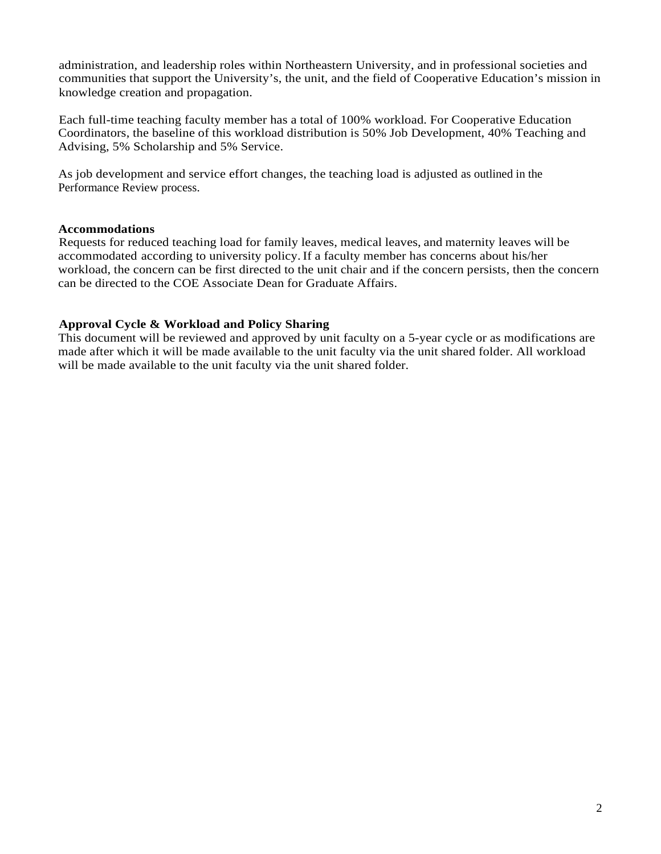administration, and leadership roles within Northeastern University, and in professional societies and communities that support the University's, the unit, and the field of Cooperative Education's mission in knowledge creation and propagation.

Each full-time teaching faculty member has a total of 100% workload. For Cooperative Education Coordinators, the baseline of this workload distribution is 50% Job Development, 40% Teaching and Advising, 5% Scholarship and 5% Service.

As job development and service effort changes, the teaching load is adjusted as outlined in the Performance Review process.

#### **Accommodations**

Requests for reduced teaching load for family leaves, medical leaves, and maternity leaves will be accommodated according to university policy. If a faculty member has concerns about his/her workload, the concern can be first directed to the unit chair and if the concern persists, then the concern can be directed to the COE Associate Dean for Graduate Affairs.

#### **Approval Cycle & Workload and Policy Sharing**

This document will be reviewed and approved by unit faculty on a 5-year cycle or as modifications are made after which it will be made available to the unit faculty via the unit shared folder. All workload will be made available to the unit faculty via the unit shared folder.